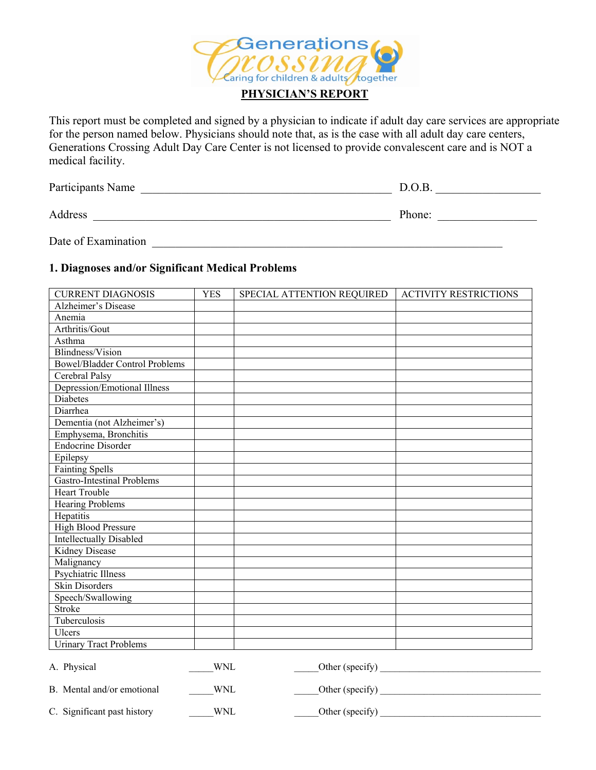

This report must be completed and signed by a physician to indicate if adult day care services are appropriate for the person named below. Physicians should note that, as is the case with all adult day care centers, Generations Crossing Adult Day Care Center is not licensed to provide convalescent care and is NOT a medical facility.

| Participants Name | D.O.B. |
|-------------------|--------|
| Address           | Phone: |

Date of Examination **Examination** 

## **1. Diagnoses and/or Significant Medical Problems**

| <b>CURRENT DIAGNOSIS</b>              | <b>YES</b> | SPECIAL ATTENTION REQUIRED | <b>ACTIVITY RESTRICTIONS</b> |
|---------------------------------------|------------|----------------------------|------------------------------|
| Alzheimer's Disease                   |            |                            |                              |
| Anemia                                |            |                            |                              |
| Arthritis/Gout                        |            |                            |                              |
| Asthma                                |            |                            |                              |
| <b>Blindness/Vision</b>               |            |                            |                              |
| <b>Bowel/Bladder Control Problems</b> |            |                            |                              |
| Cerebral Palsy                        |            |                            |                              |
| Depression/Emotional Illness          |            |                            |                              |
| Diabetes                              |            |                            |                              |
| Diarrhea                              |            |                            |                              |
| Dementia (not Alzheimer's)            |            |                            |                              |
| Emphysema, Bronchitis                 |            |                            |                              |
| <b>Endocrine Disorder</b>             |            |                            |                              |
| Epilepsy                              |            |                            |                              |
| <b>Fainting Spells</b>                |            |                            |                              |
| <b>Gastro-Intestinal Problems</b>     |            |                            |                              |
| <b>Heart Trouble</b>                  |            |                            |                              |
| <b>Hearing Problems</b>               |            |                            |                              |
| Hepatitis                             |            |                            |                              |
| High Blood Pressure                   |            |                            |                              |
| <b>Intellectually Disabled</b>        |            |                            |                              |
| Kidney Disease                        |            |                            |                              |
| Malignancy                            |            |                            |                              |
| <b>Psychiatric Illness</b>            |            |                            |                              |
| <b>Skin Disorders</b>                 |            |                            |                              |
| Speech/Swallowing                     |            |                            |                              |
| Stroke                                |            |                            |                              |
| Tuberculosis                          |            |                            |                              |
| Ulcers                                |            |                            |                              |
| Urinary Tract Problems                |            |                            |                              |
| A. Physical                           | <b>WNL</b> | Other (specify)            |                              |
| B. Mental and/or emotional            | <b>WNL</b> | Other (specify)            |                              |

C. Significant past history WNL United Sections of the Context of Specify Context of the Context of the Context of the Context of the Context of the Context of the Context of the Context of the Context of the Context of th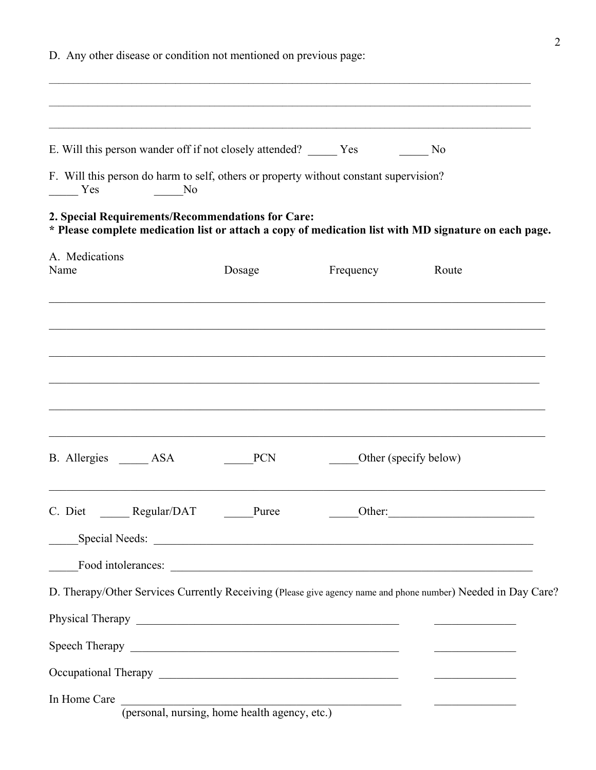| D. Any other disease or condition not mentioned on previous page:                                                                                          |                                               |                                               |                                                 |  |  |
|------------------------------------------------------------------------------------------------------------------------------------------------------------|-----------------------------------------------|-----------------------------------------------|-------------------------------------------------|--|--|
|                                                                                                                                                            |                                               |                                               |                                                 |  |  |
| E. Will this person wander off if not closely attended? ______ Yes                                                                                         |                                               |                                               | No No                                           |  |  |
| F. Will this person do harm to self, others or property without constant supervision?<br>Yes<br>No No                                                      |                                               |                                               |                                                 |  |  |
| 2. Special Requirements/Recommendations for Care:<br>* Please complete medication list or attach a copy of medication list with MD signature on each page. |                                               |                                               |                                                 |  |  |
| A. Medications<br>Name                                                                                                                                     | Dosage                                        | Frequency                                     | Route                                           |  |  |
|                                                                                                                                                            |                                               |                                               |                                                 |  |  |
|                                                                                                                                                            |                                               |                                               |                                                 |  |  |
|                                                                                                                                                            |                                               |                                               |                                                 |  |  |
|                                                                                                                                                            |                                               |                                               |                                                 |  |  |
| B. Allergies ASA                                                                                                                                           | <b>PCN</b>                                    |                                               | Other (specify below)                           |  |  |
| C. Diet ________ Regular/DAT ________Puree                                                                                                                 |                                               |                                               | $\underbrace{\hspace{2.5cm}}$ Other:            |  |  |
|                                                                                                                                                            | Special Needs:                                |                                               |                                                 |  |  |
|                                                                                                                                                            |                                               |                                               |                                                 |  |  |
| D. Therapy/Other Services Currently Receiving (Please give agency name and phone number) Needed in Day Care?                                               |                                               |                                               |                                                 |  |  |
|                                                                                                                                                            |                                               |                                               |                                                 |  |  |
|                                                                                                                                                            |                                               |                                               |                                                 |  |  |
|                                                                                                                                                            |                                               |                                               | <u> 1989 - Johann John Stone, mars et al. (</u> |  |  |
| In Home Care                                                                                                                                               | (personal, nursing, home health agency, etc.) | <u> 1986 - Jan Samuel Barbara, margaret e</u> |                                                 |  |  |